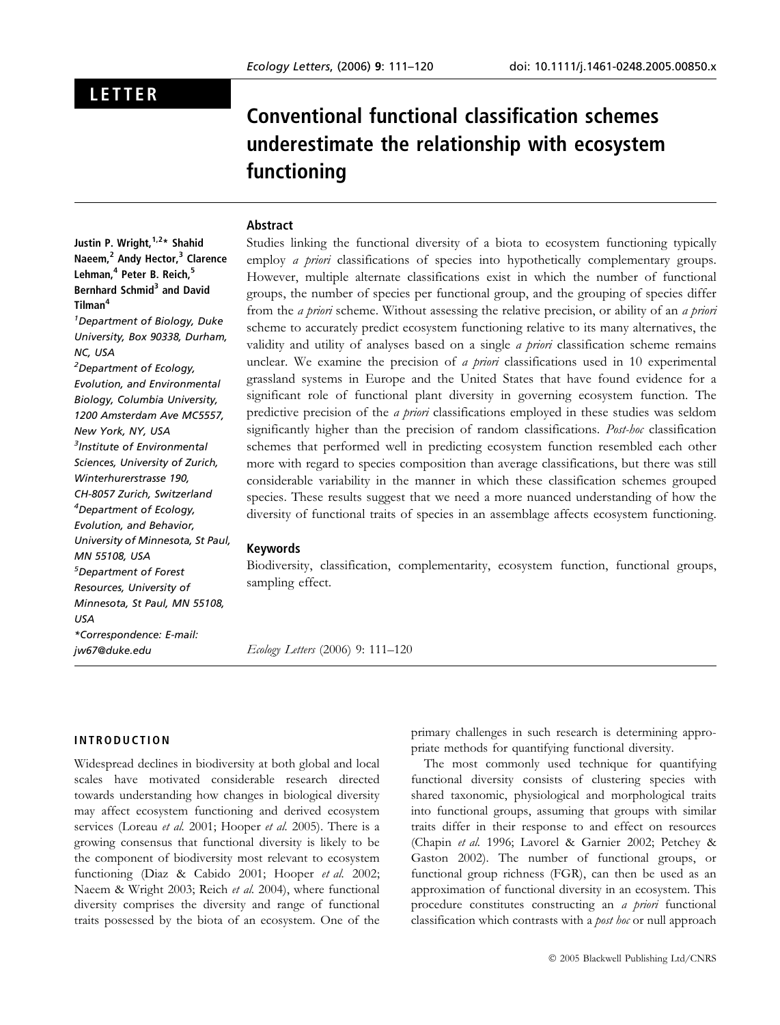# LETTER

# Conventional functional classification schemes underestimate the relationship with ecosystem functioning

### **Abstract**

Justin P. Wright,  $1.2*$  Shahid Naeem,<sup>2</sup> Andy Hector,<sup>3</sup> Clarence Lehman,<sup>4</sup> Peter B. Reich,<sup>5</sup> Bernhard Schmid<sup>3</sup> and David Tilman<sup>4</sup>

<sup>1</sup>Department of Biology, Duke University, Box 90338, Durham, NC, USA

<sup>2</sup>Department of Ecology, Evolution, and Environmental Biology, Columbia University, 1200 Amsterdam Ave MC5557, New York, NY, USA 3 Institute of Environmental Sciences, University of Zurich, Winterhurerstrasse 190, CH-8057 Zurich, Switzerland 4 Department of Ecology, Evolution, and Behavior, University of Minnesota, St Paul, MN 55108, USA 5 Department of Forest Resources, University of Minnesota, St Paul, MN 55108, USA \*Correspondence: E-mail: jw67@duke.edu

Studies linking the functional diversity of a biota to ecosystem functioning typically employ *a priori* classifications of species into hypothetically complementary groups. However, multiple alternate classifications exist in which the number of functional groups, the number of species per functional group, and the grouping of species differ from the a priori scheme. Without assessing the relative precision, or ability of an a priori scheme to accurately predict ecosystem functioning relative to its many alternatives, the validity and utility of analyses based on a single *a priori* classification scheme remains unclear. We examine the precision of *a priori* classifications used in 10 experimental grassland systems in Europe and the United States that have found evidence for a significant role of functional plant diversity in governing ecosystem function. The predictive precision of the a priori classifications employed in these studies was seldom significantly higher than the precision of random classifications. Post-hoc classification schemes that performed well in predicting ecosystem function resembled each other more with regard to species composition than average classifications, but there was still considerable variability in the manner in which these classification schemes grouped species. These results suggest that we need a more nuanced understanding of how the diversity of functional traits of species in an assemblage affects ecosystem functioning.

#### Keywords

Biodiversity, classification, complementarity, ecosystem function, functional groups, sampling effect.

Ecology Letters (2006) 9: 111–120

#### INTRODUCTION

Widespread declines in biodiversity at both global and local scales have motivated considerable research directed towards understanding how changes in biological diversity may affect ecosystem functioning and derived ecosystem services (Loreau et al. 2001; Hooper et al. 2005). There is a growing consensus that functional diversity is likely to be the component of biodiversity most relevant to ecosystem functioning (Diaz & Cabido 2001; Hooper et al. 2002; Naeem & Wright 2003; Reich et al. 2004), where functional diversity comprises the diversity and range of functional traits possessed by the biota of an ecosystem. One of the primary challenges in such research is determining appropriate methods for quantifying functional diversity.

The most commonly used technique for quantifying functional diversity consists of clustering species with shared taxonomic, physiological and morphological traits into functional groups, assuming that groups with similar traits differ in their response to and effect on resources (Chapin et al. 1996; Lavorel & Garnier 2002; Petchey & Gaston 2002). The number of functional groups, or functional group richness (FGR), can then be used as an approximation of functional diversity in an ecosystem. This procedure constitutes constructing an a priori functional classification which contrasts with a post hoc or null approach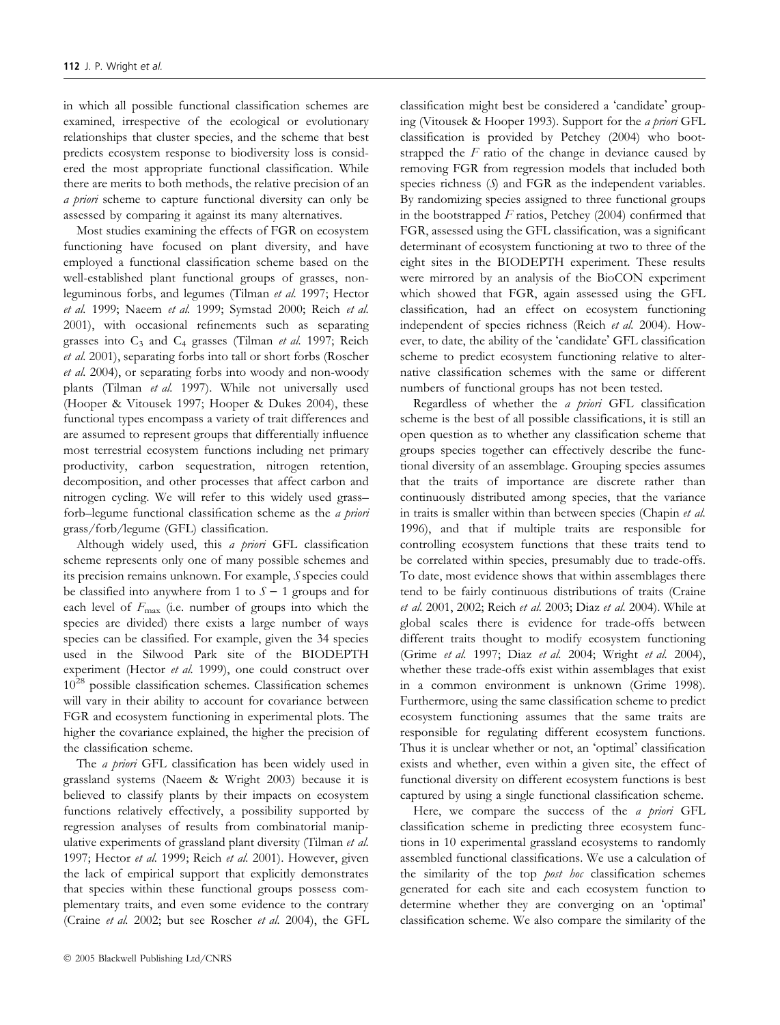in which all possible functional classification schemes are examined, irrespective of the ecological or evolutionary relationships that cluster species, and the scheme that best predicts ecosystem response to biodiversity loss is considered the most appropriate functional classification. While there are merits to both methods, the relative precision of an a priori scheme to capture functional diversity can only be assessed by comparing it against its many alternatives.

Most studies examining the effects of FGR on ecosystem functioning have focused on plant diversity, and have employed a functional classification scheme based on the well-established plant functional groups of grasses, nonleguminous forbs, and legumes (Tilman et al. 1997; Hector et al. 1999; Naeem et al. 1999; Symstad 2000; Reich et al. 2001), with occasional refinements such as separating grasses into  $C_3$  and  $C_4$  grasses (Tilman et al. 1997; Reich et al. 2001), separating forbs into tall or short forbs (Roscher et al. 2004), or separating forbs into woody and non-woody plants (Tilman et al. 1997). While not universally used (Hooper & Vitousek 1997; Hooper & Dukes 2004), these functional types encompass a variety of trait differences and are assumed to represent groups that differentially influence most terrestrial ecosystem functions including net primary productivity, carbon sequestration, nitrogen retention, decomposition, and other processes that affect carbon and nitrogen cycling. We will refer to this widely used grass– forb–legume functional classification scheme as the a priori grass/forb/legume (GFL) classification.

Although widely used, this a priori GFL classification scheme represents only one of many possible schemes and its precision remains unknown. For example, S species could be classified into anywhere from 1 to  $S - 1$  groups and for each level of  $F_{\text{max}}$  (i.e. number of groups into which the species are divided) there exists a large number of ways species can be classified. For example, given the 34 species used in the Silwood Park site of the BIODEPTH experiment (Hector et al. 1999), one could construct over  $10^{28}$  possible classification schemes. Classification schemes will vary in their ability to account for covariance between FGR and ecosystem functioning in experimental plots. The higher the covariance explained, the higher the precision of the classification scheme.

The *a priori* GFL classification has been widely used in grassland systems (Naeem & Wright 2003) because it is believed to classify plants by their impacts on ecosystem functions relatively effectively, a possibility supported by regression analyses of results from combinatorial manipulative experiments of grassland plant diversity (Tilman et al. 1997; Hector et al. 1999; Reich et al. 2001). However, given the lack of empirical support that explicitly demonstrates that species within these functional groups possess complementary traits, and even some evidence to the contrary (Craine et al. 2002; but see Roscher et al. 2004), the GFL

classification might best be considered a 'candidate' grouping (Vitousek & Hooper 1993). Support for the a priori GFL classification is provided by Petchey (2004) who bootstrapped the  $F$  ratio of the change in deviance caused by removing FGR from regression models that included both species richness (S) and FGR as the independent variables. By randomizing species assigned to three functional groups in the bootstrapped  $F$  ratios, Petchey (2004) confirmed that FGR, assessed using the GFL classification, was a significant determinant of ecosystem functioning at two to three of the eight sites in the BIODEPTH experiment. These results were mirrored by an analysis of the BioCON experiment which showed that FGR, again assessed using the GFL classification, had an effect on ecosystem functioning independent of species richness (Reich et al. 2004). However, to date, the ability of the 'candidate' GFL classification scheme to predict ecosystem functioning relative to alternative classification schemes with the same or different numbers of functional groups has not been tested.

Regardless of whether the a priori GFL classification scheme is the best of all possible classifications, it is still an open question as to whether any classification scheme that groups species together can effectively describe the functional diversity of an assemblage. Grouping species assumes that the traits of importance are discrete rather than continuously distributed among species, that the variance in traits is smaller within than between species (Chapin et al. 1996), and that if multiple traits are responsible for controlling ecosystem functions that these traits tend to be correlated within species, presumably due to trade-offs. To date, most evidence shows that within assemblages there tend to be fairly continuous distributions of traits (Craine et al. 2001, 2002; Reich et al. 2003; Diaz et al. 2004). While at global scales there is evidence for trade-offs between different traits thought to modify ecosystem functioning (Grime et al. 1997; Diaz et al. 2004; Wright et al. 2004), whether these trade-offs exist within assemblages that exist in a common environment is unknown (Grime 1998). Furthermore, using the same classification scheme to predict ecosystem functioning assumes that the same traits are responsible for regulating different ecosystem functions. Thus it is unclear whether or not, an 'optimal' classification exists and whether, even within a given site, the effect of functional diversity on different ecosystem functions is best captured by using a single functional classification scheme.

Here, we compare the success of the a priori GFL classification scheme in predicting three ecosystem functions in 10 experimental grassland ecosystems to randomly assembled functional classifications. We use a calculation of the similarity of the top post hoc classification schemes generated for each site and each ecosystem function to determine whether they are converging on an 'optimal' classification scheme. We also compare the similarity of the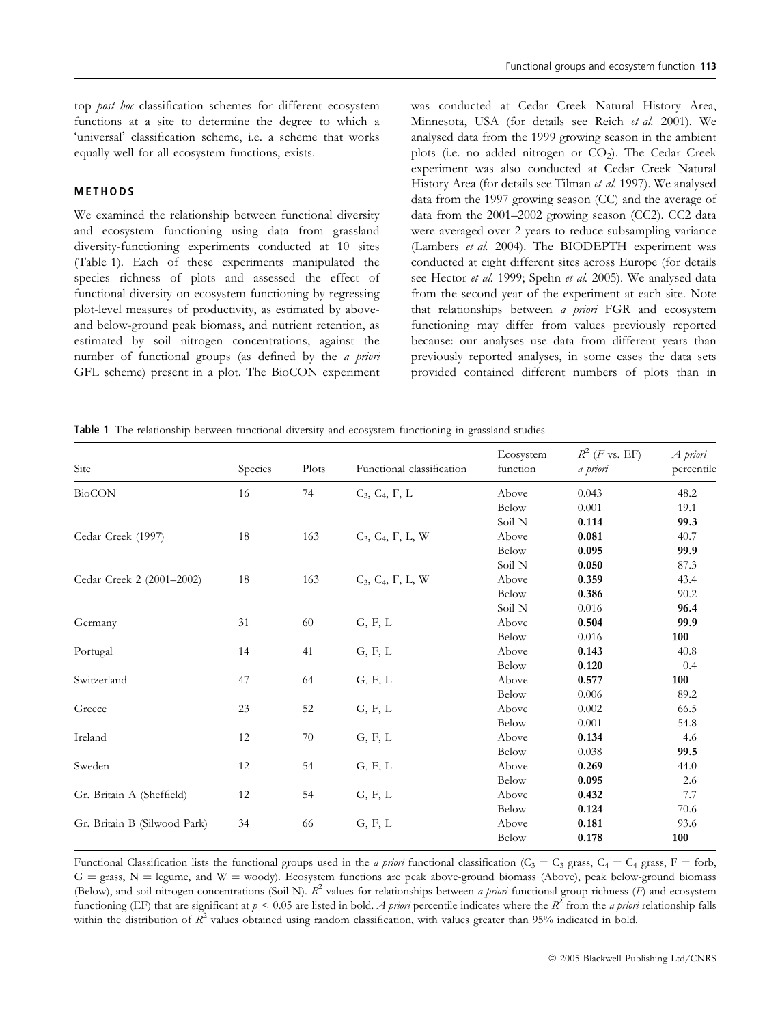top post hoc classification schemes for different ecosystem functions at a site to determine the degree to which a 'universal' classification scheme, i.e. a scheme that works equally well for all ecosystem functions, exists.

### METHODS

We examined the relationship between functional diversity and ecosystem functioning using data from grassland diversity-functioning experiments conducted at 10 sites (Table 1). Each of these experiments manipulated the species richness of plots and assessed the effect of functional diversity on ecosystem functioning by regressing plot-level measures of productivity, as estimated by aboveand below-ground peak biomass, and nutrient retention, as estimated by soil nitrogen concentrations, against the number of functional groups (as defined by the a priori GFL scheme) present in a plot. The BioCON experiment was conducted at Cedar Creek Natural History Area, Minnesota, USA (for details see Reich et al. 2001). We analysed data from the 1999 growing season in the ambient plots (i.e. no added nitrogen or  $CO<sub>2</sub>$ ). The Cedar Creek experiment was also conducted at Cedar Creek Natural History Area (for details see Tilman et al. 1997). We analysed data from the 1997 growing season (CC) and the average of data from the 2001–2002 growing season (CC2). CC2 data were averaged over 2 years to reduce subsampling variance (Lambers et al. 2004). The BIODEPTH experiment was conducted at eight different sites across Europe (for details see Hector et al. 1999; Spehn et al. 2005). We analysed data from the second year of the experiment at each site. Note that relationships between a priori FGR and ecosystem functioning may differ from values previously reported because: our analyses use data from different years than previously reported analyses, in some cases the data sets provided contained different numbers of plots than in

Table 1 The relationship between functional diversity and ecosystem functioning in grassland studies

| Site                         | Species | Plots | Functional classification | Ecosystem<br>function | $R^2$ (F vs. EF)<br>a priori | A priori<br>percentile |
|------------------------------|---------|-------|---------------------------|-----------------------|------------------------------|------------------------|
| <b>BioCON</b>                | 16      | 74    | $C_3, C_4, F, L$          | Above                 | 0.043                        | 48.2                   |
|                              |         |       |                           | Below                 | 0.001                        | 19.1                   |
|                              |         |       |                           | Soil N                | 0.114                        | 99.3                   |
| Cedar Creek (1997)           | 18      | 163   | $C_3, C_4, F, L, W$       | Above                 | 0.081                        | 40.7                   |
|                              |         |       |                           | Below                 | 0.095                        | 99.9                   |
|                              |         |       |                           | Soil N                | 0.050                        | 87.3                   |
| Cedar Creek 2 (2001-2002)    | 18      | 163   | $C_3, C_4, F, L, W$       | Above                 | 0.359                        | 43.4                   |
|                              |         |       |                           | Below                 | 0.386                        | 90.2                   |
|                              |         |       |                           | Soil N                | 0.016                        | 96.4                   |
| Germany                      | 31      | 60    | G, F, L                   | Above                 | 0.504                        | 99.9                   |
|                              |         |       |                           | Below                 | 0.016                        | 100                    |
| Portugal                     | 14      | 41    | G, F, L                   | Above                 | 0.143                        | 40.8                   |
|                              |         |       |                           | Below                 | 0.120                        | 0.4                    |
| Switzerland                  | 47      | 64    | G, F, L                   | Above                 | 0.577                        | 100                    |
|                              |         |       |                           | Below                 | 0.006                        | 89.2                   |
| Greece                       | 23      | 52    | G, F, L                   | Above                 | 0.002                        | 66.5                   |
|                              |         |       |                           | Below                 | 0.001                        | 54.8                   |
| Ireland                      | 12      | 70    | G, F, L                   | Above                 | 0.134                        | 4.6                    |
|                              |         |       |                           | Below                 | 0.038                        | 99.5                   |
| Sweden                       | 12      | 54    | G, F, L                   | Above                 | 0.269                        | 44.0                   |
|                              |         |       |                           | Below                 | 0.095                        | 2.6                    |
| Gr. Britain A (Sheffield)    | 12      | 54    | G, F, L                   | Above                 | 0.432                        | 7.7                    |
|                              |         |       |                           | Below                 | 0.124                        | 70.6                   |
| Gr. Britain B (Silwood Park) | 34      | 66    | G, F, L                   | Above                 | 0.181                        | 93.6                   |
|                              |         |       |                           | Below                 | 0.178                        | 100                    |

Functional Classification lists the functional groups used in the *a priori* functional classification ( $C_3 = C_3$  grass,  $C_4 = C_4$  grass,  $F =$  forb,  $G =$  grass,  $N =$  legume, and  $W =$  woody). Ecosystem functions are peak above-ground biomass (Above), peak below-ground biomass (Below), and soil nitrogen concentrations (Soil N).  $R^2$  values for relationships between *a priori* functional group richness (F) and ecosystem functioning (EF) that are significant at  $p < 0.05$  are listed in bold. A priori percentile indicates where the  $R^2$  from the a priori relationship falls within the distribution of  $R^2$  values obtained using random classification, with values greater than 95% indicated in bold.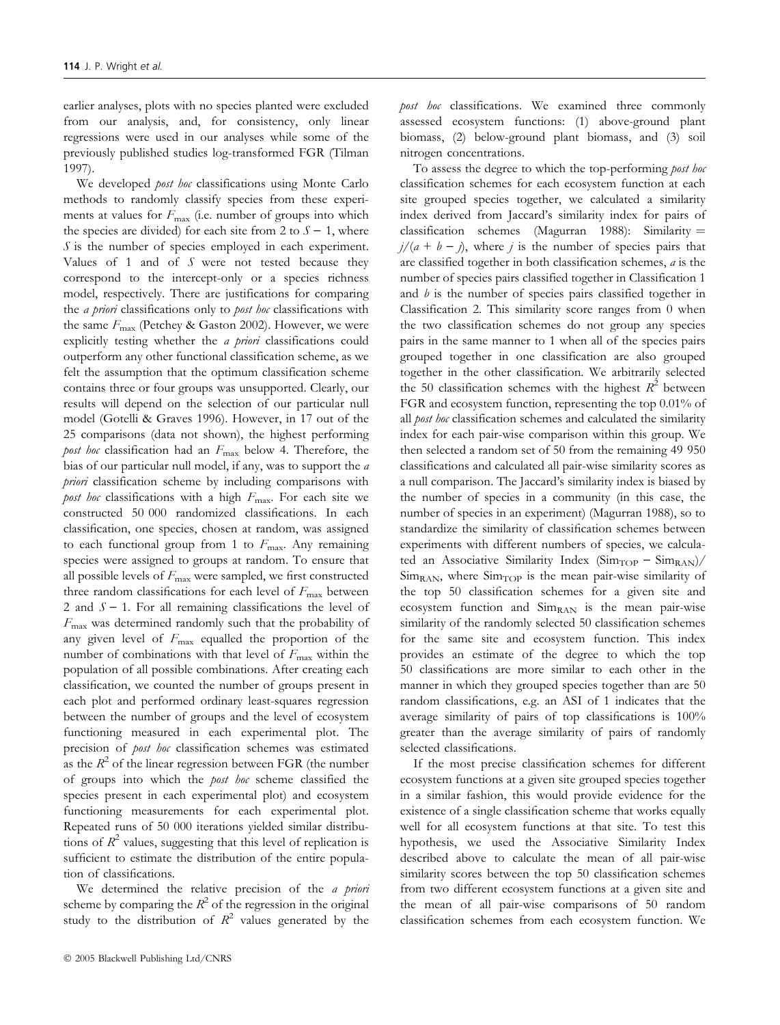earlier analyses, plots with no species planted were excluded from our analysis, and, for consistency, only linear regressions were used in our analyses while some of the previously published studies log-transformed FGR (Tilman 1997).

We developed *post hoc* classifications using Monte Carlo methods to randomly classify species from these experiments at values for  $F_{\text{max}}$  (i.e. number of groups into which the species are divided) for each site from 2 to  $S - 1$ , where  $S$  is the number of species employed in each experiment. Values of 1 and of S were not tested because they correspond to the intercept-only or a species richness model, respectively. There are justifications for comparing the *a priori* classifications only to *post hoc* classifications with the same  $F_{\text{max}}$  (Petchey & Gaston 2002). However, we were explicitly testing whether the *a priori* classifications could outperform any other functional classification scheme, as we felt the assumption that the optimum classification scheme contains three or four groups was unsupported. Clearly, our results will depend on the selection of our particular null model (Gotelli & Graves 1996). However, in 17 out of the 25 comparisons (data not shown), the highest performing post hoc classification had an  $F_{\text{max}}$  below 4. Therefore, the bias of our particular null model, if any, was to support the a priori classification scheme by including comparisons with post hoc classifications with a high  $F_{\text{max}}$ . For each site we constructed 50 000 randomized classifications. In each classification, one species, chosen at random, was assigned to each functional group from 1 to  $F_{\text{max}}$ . Any remaining species were assigned to groups at random. To ensure that all possible levels of  $F_{\text{max}}$  were sampled, we first constructed three random classifications for each level of  $F_{\text{max}}$  between 2 and  $S - 1$ . For all remaining classifications the level of  $F_{\text{max}}$  was determined randomly such that the probability of any given level of  $F_{\text{max}}$  equalled the proportion of the number of combinations with that level of  $F_{\text{max}}$  within the population of all possible combinations. After creating each classification, we counted the number of groups present in each plot and performed ordinary least-squares regression between the number of groups and the level of ecosystem functioning measured in each experimental plot. The precision of post hoc classification schemes was estimated as the  $R^2$  of the linear regression between FGR (the number of groups into which the post hoc scheme classified the species present in each experimental plot) and ecosystem functioning measurements for each experimental plot. Repeated runs of 50 000 iterations yielded similar distributions of  $R^2$  values, suggesting that this level of replication is sufficient to estimate the distribution of the entire population of classifications.

We determined the relative precision of the *a priori* scheme by comparing the  $R^2$  of the regression in the original study to the distribution of  $R^2$  values generated by the

post hoc classifications. We examined three commonly assessed ecosystem functions: (1) above-ground plant biomass, (2) below-ground plant biomass, and (3) soil nitrogen concentrations.

To assess the degree to which the top-performing post hoc classification schemes for each ecosystem function at each site grouped species together, we calculated a similarity index derived from Jaccard's similarity index for pairs of classification schemes (Magurran 1988): Similarity  $=$  $j/(a + b - j)$ , where j is the number of species pairs that are classified together in both classification schemes, a is the number of species pairs classified together in Classification 1 and  $b$  is the number of species pairs classified together in Classification 2. This similarity score ranges from 0 when the two classification schemes do not group any species pairs in the same manner to 1 when all of the species pairs grouped together in one classification are also grouped together in the other classification. We arbitrarily selected the 50 classification schemes with the highest  $R^2$  between FGR and ecosystem function, representing the top 0.01% of all post hoc classification schemes and calculated the similarity index for each pair-wise comparison within this group. We then selected a random set of 50 from the remaining 49 950 classifications and calculated all pair-wise similarity scores as a null comparison. The Jaccard's similarity index is biased by the number of species in a community (in this case, the number of species in an experiment) (Magurran 1988), so to standardize the similarity of classification schemes between experiments with different numbers of species, we calculated an Associative Similarity Index (Sim<sub>TOP</sub> - SimRAN)/  $Sim<sub>RAN</sub>$ , where  $Sim<sub>TOP</sub>$  is the mean pair-wise similarity of the top 50 classification schemes for a given site and ecosystem function and  $Sim<sub>RAN</sub>$  is the mean pair-wise similarity of the randomly selected 50 classification schemes for the same site and ecosystem function. This index provides an estimate of the degree to which the top 50 classifications are more similar to each other in the manner in which they grouped species together than are 50 random classifications, e.g. an ASI of 1 indicates that the average similarity of pairs of top classifications is 100% greater than the average similarity of pairs of randomly selected classifications.

If the most precise classification schemes for different ecosystem functions at a given site grouped species together in a similar fashion, this would provide evidence for the existence of a single classification scheme that works equally well for all ecosystem functions at that site. To test this hypothesis, we used the Associative Similarity Index described above to calculate the mean of all pair-wise similarity scores between the top 50 classification schemes from two different ecosystem functions at a given site and the mean of all pair-wise comparisons of 50 random classification schemes from each ecosystem function. We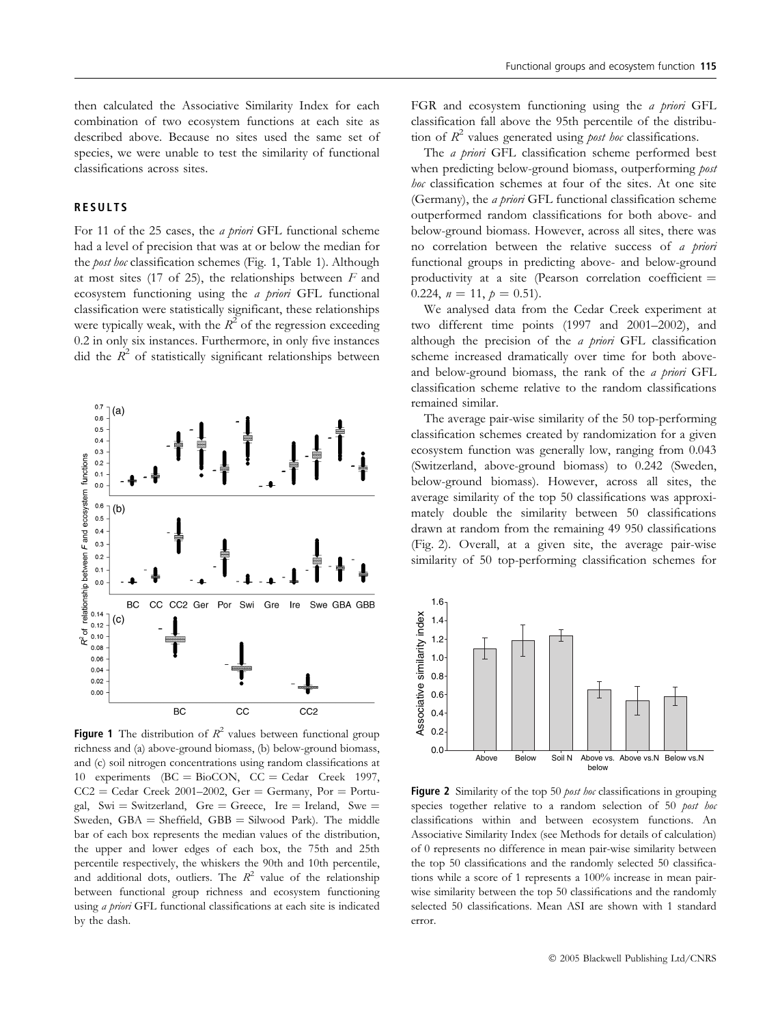then calculated the Associative Similarity Index for each combination of two ecosystem functions at each site as described above. Because no sites used the same set of species, we were unable to test the similarity of functional classifications across sites.

#### RESULTS

For 11 of the 25 cases, the *a priori* GFL functional scheme had a level of precision that was at or below the median for the post hoc classification schemes (Fig. 1, Table 1). Although at most sites (17 of 25), the relationships between  $F$  and ecosystem functioning using the a priori GFL functional classification were statistically significant, these relationships were typically weak, with the  $R^2$  of the regression exceeding 0.2 in only six instances. Furthermore, in only five instances did the  $R^2$  of statistically significant relationships between



**Figure 1** The distribution of  $R^2$  values between functional group richness and (a) above-ground biomass, (b) below-ground biomass, and (c) soil nitrogen concentrations using random classifications at 10 experiments ( $BC = BioCON$ ,  $CC = Cedar$  Creek 1997,  $CC2 = Cedar Creek 2001–2002$ ,  $Ger = Germany$ ,  $Por = Portu$ gal, Swi = Switzerland, Gre = Greece, Ire = Ireland, Swe = Sweden,  $GBA =$ Sheffield,  $GBB =$ Silwood Park). The middle bar of each box represents the median values of the distribution, the upper and lower edges of each box, the 75th and 25th percentile respectively, the whiskers the 90th and 10th percentile, and additional dots, outliers. The  $R^2$  value of the relationship between functional group richness and ecosystem functioning using a priori GFL functional classifications at each site is indicated by the dash.

FGR and ecosystem functioning using the a priori GFL classification fall above the 95th percentile of the distribution of  $R^2$  values generated using *post hoc* classifications.

The a priori GFL classification scheme performed best when predicting below-ground biomass, outperforming *post* hoc classification schemes at four of the sites. At one site (Germany), the a priori GFL functional classification scheme outperformed random classifications for both above- and below-ground biomass. However, across all sites, there was no correlation between the relative success of a priori functional groups in predicting above- and below-ground productivity at a site (Pearson correlation coefficient  $=$ 0.224,  $n = 11$ ,  $p = 0.51$ ).

We analysed data from the Cedar Creek experiment at two different time points (1997 and 2001–2002), and although the precision of the a priori GFL classification scheme increased dramatically over time for both aboveand below-ground biomass, the rank of the a priori GFL classification scheme relative to the random classifications remained similar.

The average pair-wise similarity of the 50 top-performing classification schemes created by randomization for a given ecosystem function was generally low, ranging from 0.043 (Switzerland, above-ground biomass) to 0.242 (Sweden, below-ground biomass). However, across all sites, the average similarity of the top 50 classifications was approximately double the similarity between 50 classifications drawn at random from the remaining 49 950 classifications (Fig. 2). Overall, at a given site, the average pair-wise similarity of 50 top-performing classification schemes for



Figure 2 Similarity of the top 50 *post hoc* classifications in grouping species together relative to a random selection of 50 post hoc classifications within and between ecosystem functions. An Associative Similarity Index (see Methods for details of calculation) of 0 represents no difference in mean pair-wise similarity between the top 50 classifications and the randomly selected 50 classifications while a score of 1 represents a 100% increase in mean pairwise similarity between the top 50 classifications and the randomly selected 50 classifications. Mean ASI are shown with 1 standard error.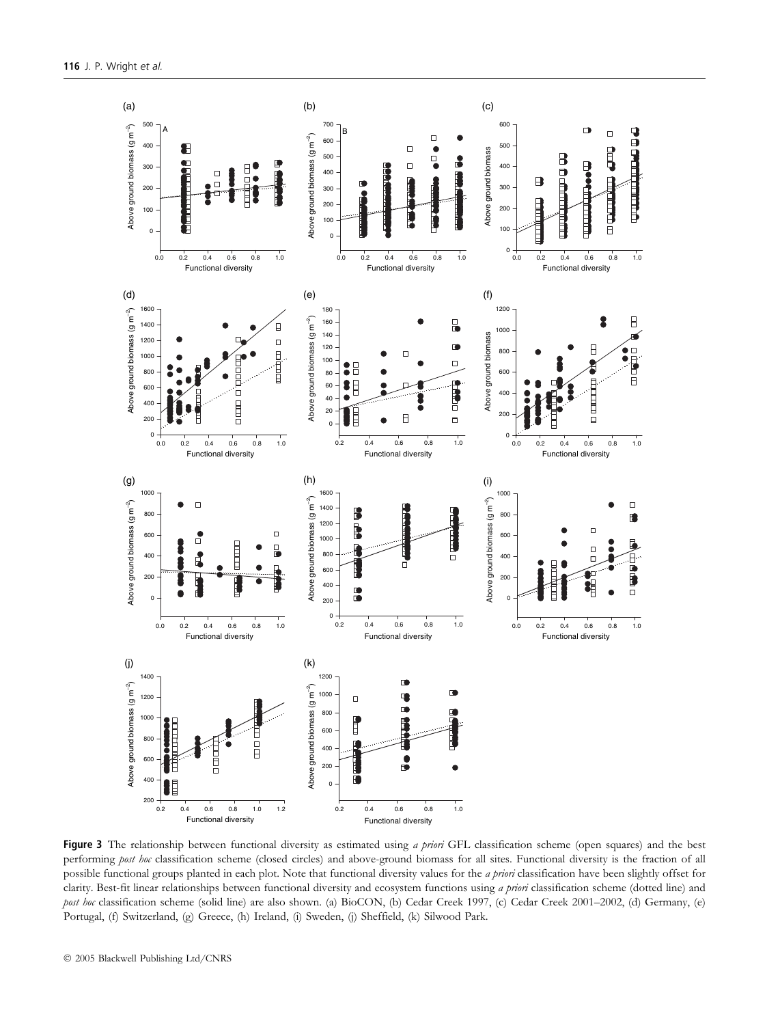

Figure 3 The relationship between functional diversity as estimated using a priori GFL classification scheme (open squares) and the best performing post hoc classification scheme (closed circles) and above-ground biomass for all sites. Functional diversity is the fraction of all possible functional groups planted in each plot. Note that functional diversity values for the a priori classification have been slightly offset for clarity. Best-fit linear relationships between functional diversity and ecosystem functions using a priori classification scheme (dotted line) and post hoc classification scheme (solid line) are also shown. (a) BioCON, (b) Cedar Creek 1997, (c) Cedar Creek 2001-2002, (d) Germany, (e) Portugal, (f) Switzerland, (g) Greece, (h) Ireland, (i) Sweden, (j) Sheffield, (k) Silwood Park.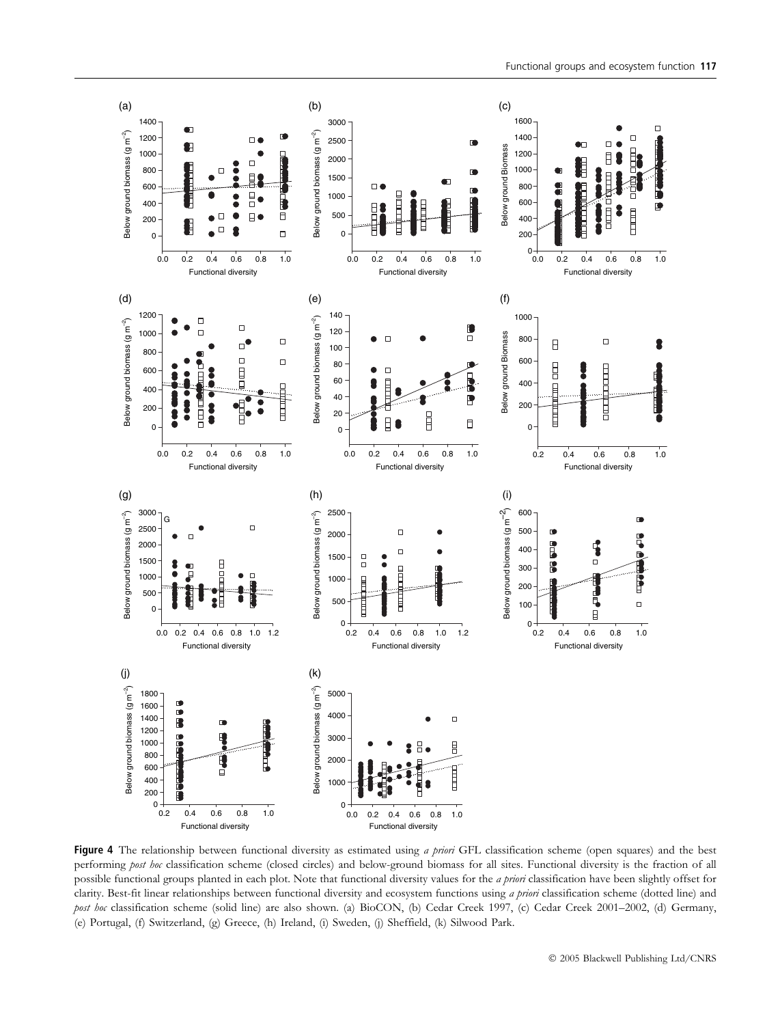

Figure 4 The relationship between functional diversity as estimated using a priori GFL classification scheme (open squares) and the best performing post hoc classification scheme (closed circles) and below-ground biomass for all sites. Functional diversity is the fraction of all possible functional groups planted in each plot. Note that functional diversity values for the a priori classification have been slightly offset for clarity. Best-fit linear relationships between functional diversity and ecosystem functions using a priori classification scheme (dotted line) and post hoc classification scheme (solid line) are also shown. (a) BioCON, (b) Cedar Creek 1997, (c) Cedar Creek 2001–2002, (d) Germany, (e) Portugal, (f) Switzerland, (g) Greece, (h) Ireland, (i) Sweden, (j) Sheffield, (k) Silwood Park.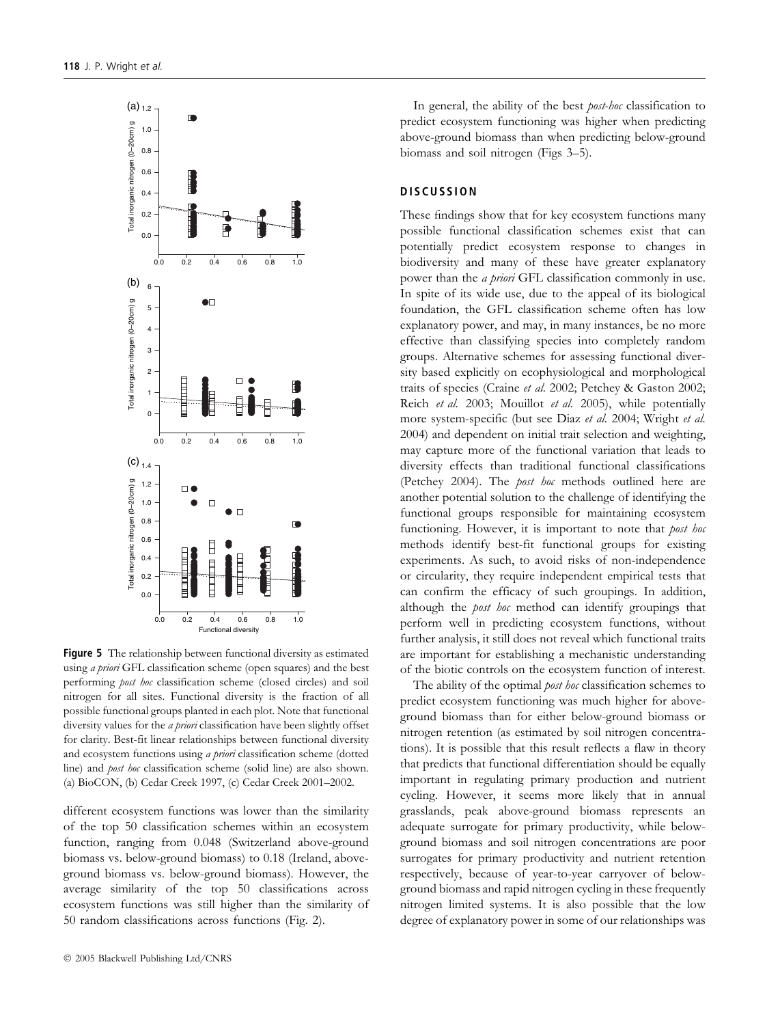

Figure 5 The relationship between functional diversity as estimated using *a priori* GFL classification scheme (open squares) and the best performing post hoc classification scheme (closed circles) and soil nitrogen for all sites. Functional diversity is the fraction of all possible functional groups planted in each plot. Note that functional diversity values for the *a priori* classification have been slightly offset for clarity. Best-fit linear relationships between functional diversity and ecosystem functions using a priori classification scheme (dotted line) and post hoc classification scheme (solid line) are also shown. (a) BioCON, (b) Cedar Creek 1997, (c) Cedar Creek 2001–2002.

different ecosystem functions was lower than the similarity of the top 50 classification schemes within an ecosystem function, ranging from 0.048 (Switzerland above-ground biomass vs. below-ground biomass) to 0.18 (Ireland, aboveground biomass vs. below-ground biomass). However, the average similarity of the top 50 classifications across ecosystem functions was still higher than the similarity of 50 random classifications across functions (Fig. 2).

In general, the ability of the best *post-hoc* classification to predict ecosystem functioning was higher when predicting above-ground biomass than when predicting below-ground biomass and soil nitrogen (Figs 3–5).

### **DISCUSSION**

These findings show that for key ecosystem functions many possible functional classification schemes exist that can potentially predict ecosystem response to changes in biodiversity and many of these have greater explanatory power than the *a priori* GFL classification commonly in use. In spite of its wide use, due to the appeal of its biological foundation, the GFL classification scheme often has low explanatory power, and may, in many instances, be no more effective than classifying species into completely random groups. Alternative schemes for assessing functional diversity based explicitly on ecophysiological and morphological traits of species (Craine et al. 2002; Petchey & Gaston 2002; Reich et al. 2003; Mouillot et al. 2005), while potentially more system-specific (but see Diaz et al. 2004; Wright et al. 2004) and dependent on initial trait selection and weighting, may capture more of the functional variation that leads to diversity effects than traditional functional classifications (Petchey 2004). The *post hoc* methods outlined here are another potential solution to the challenge of identifying the functional groups responsible for maintaining ecosystem functioning. However, it is important to note that post hoc methods identify best-fit functional groups for existing experiments. As such, to avoid risks of non-independence or circularity, they require independent empirical tests that can confirm the efficacy of such groupings. In addition, although the *post hoc* method can identify groupings that perform well in predicting ecosystem functions, without further analysis, it still does not reveal which functional traits are important for establishing a mechanistic understanding of the biotic controls on the ecosystem function of interest.

The ability of the optimal post hoc classification schemes to predict ecosystem functioning was much higher for aboveground biomass than for either below-ground biomass or nitrogen retention (as estimated by soil nitrogen concentrations). It is possible that this result reflects a flaw in theory that predicts that functional differentiation should be equally important in regulating primary production and nutrient cycling. However, it seems more likely that in annual grasslands, peak above-ground biomass represents an adequate surrogate for primary productivity, while belowground biomass and soil nitrogen concentrations are poor surrogates for primary productivity and nutrient retention respectively, because of year-to-year carryover of belowground biomass and rapid nitrogen cycling in these frequently nitrogen limited systems. It is also possible that the low degree of explanatory power in some of our relationships was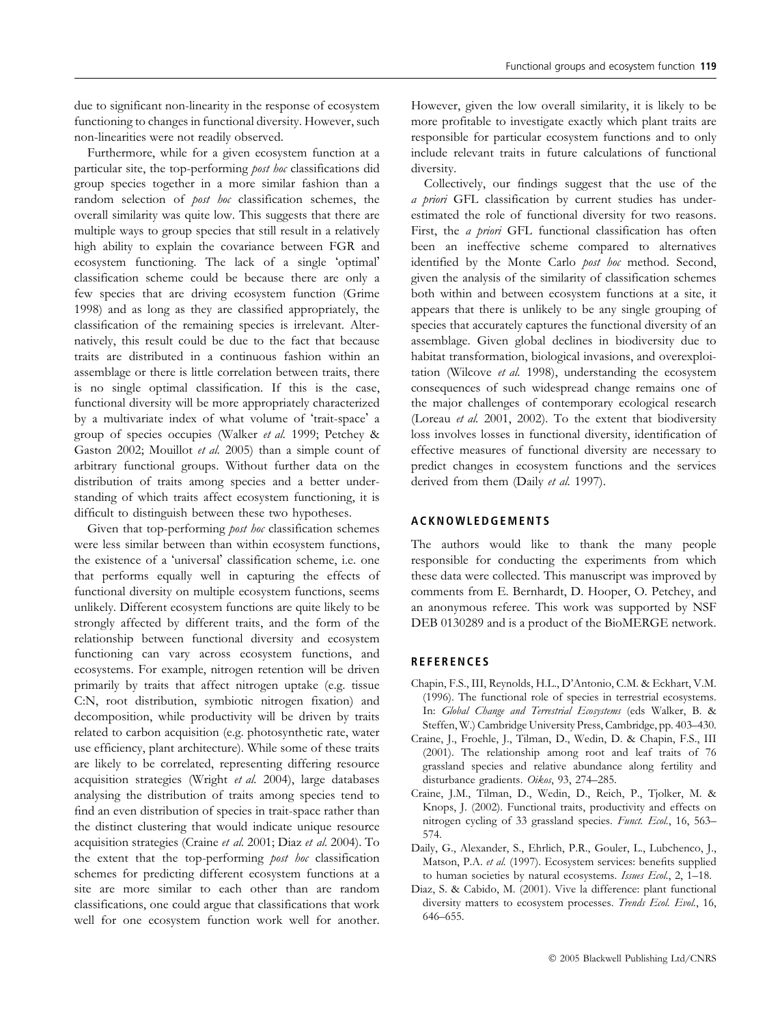due to significant non-linearity in the response of ecosystem functioning to changes in functional diversity. However, such non-linearities were not readily observed.

Furthermore, while for a given ecosystem function at a particular site, the top-performing post hoc classifications did group species together in a more similar fashion than a random selection of post hoc classification schemes, the overall similarity was quite low. This suggests that there are multiple ways to group species that still result in a relatively high ability to explain the covariance between FGR and ecosystem functioning. The lack of a single 'optimal' classification scheme could be because there are only a few species that are driving ecosystem function (Grime 1998) and as long as they are classified appropriately, the classification of the remaining species is irrelevant. Alternatively, this result could be due to the fact that because traits are distributed in a continuous fashion within an assemblage or there is little correlation between traits, there is no single optimal classification. If this is the case, functional diversity will be more appropriately characterized by a multivariate index of what volume of 'trait-space' a group of species occupies (Walker et al. 1999; Petchey & Gaston 2002; Mouillot et al. 2005) than a simple count of arbitrary functional groups. Without further data on the distribution of traits among species and a better understanding of which traits affect ecosystem functioning, it is difficult to distinguish between these two hypotheses.

Given that top-performing *post hoc* classification schemes were less similar between than within ecosystem functions, the existence of a 'universal' classification scheme, i.e. one that performs equally well in capturing the effects of functional diversity on multiple ecosystem functions, seems unlikely. Different ecosystem functions are quite likely to be strongly affected by different traits, and the form of the relationship between functional diversity and ecosystem functioning can vary across ecosystem functions, and ecosystems. For example, nitrogen retention will be driven primarily by traits that affect nitrogen uptake (e.g. tissue C:N, root distribution, symbiotic nitrogen fixation) and decomposition, while productivity will be driven by traits related to carbon acquisition (e.g. photosynthetic rate, water use efficiency, plant architecture). While some of these traits are likely to be correlated, representing differing resource acquisition strategies (Wright et al. 2004), large databases analysing the distribution of traits among species tend to find an even distribution of species in trait-space rather than the distinct clustering that would indicate unique resource acquisition strategies (Craine et al. 2001; Diaz et al. 2004). To the extent that the top-performing *post hoc* classification schemes for predicting different ecosystem functions at a site are more similar to each other than are random classifications, one could argue that classifications that work well for one ecosystem function work well for another.

However, given the low overall similarity, it is likely to be more profitable to investigate exactly which plant traits are responsible for particular ecosystem functions and to only include relevant traits in future calculations of functional diversity.

Collectively, our findings suggest that the use of the a priori GFL classification by current studies has underestimated the role of functional diversity for two reasons. First, the *a priori* GFL functional classification has often been an ineffective scheme compared to alternatives identified by the Monte Carlo *post hoc* method. Second, given the analysis of the similarity of classification schemes both within and between ecosystem functions at a site, it appears that there is unlikely to be any single grouping of species that accurately captures the functional diversity of an assemblage. Given global declines in biodiversity due to habitat transformation, biological invasions, and overexploitation (Wilcove et al. 1998), understanding the ecosystem consequences of such widespread change remains one of the major challenges of contemporary ecological research (Loreau et al. 2001, 2002). To the extent that biodiversity loss involves losses in functional diversity, identification of effective measures of functional diversity are necessary to predict changes in ecosystem functions and the services derived from them (Daily et al. 1997).

## ACKNOWLEDGEMENTS

The authors would like to thank the many people responsible for conducting the experiments from which these data were collected. This manuscript was improved by comments from E. Bernhardt, D. Hooper, O. Petchey, and an anonymous referee. This work was supported by NSF DEB 0130289 and is a product of the BioMERGE network.

#### **REFERENCES**

- Chapin, F.S., III, Reynolds, H.L., D'Antonio, C.M. & Eckhart, V.M. (1996). The functional role of species in terrestrial ecosystems. In: Global Change and Terrestrial Ecosystems (eds Walker, B. & Steffen, W.) Cambridge University Press, Cambridge, pp. 403–430.
- Craine, J., Froehle, J., Tilman, D., Wedin, D. & Chapin, F.S., III (2001). The relationship among root and leaf traits of 76 grassland species and relative abundance along fertility and disturbance gradients. Oikos, 93, 274-285.
- Craine, J.M., Tilman, D., Wedin, D., Reich, P., Tjolker, M. & Knops, J. (2002). Functional traits, productivity and effects on nitrogen cycling of 33 grassland species. Funct. Ecol., 16, 563-574.
- Daily, G., Alexander, S., Ehrlich, P.R., Gouler, L., Lubchenco, J., Matson, P.A. et al. (1997). Ecosystem services: benefits supplied to human societies by natural ecosystems. Issues Ecol., 2, 1-18.
- Diaz, S. & Cabido, M. (2001). Vive la difference: plant functional diversity matters to ecosystem processes. Trends Ecol. Evol., 16, 646–655.